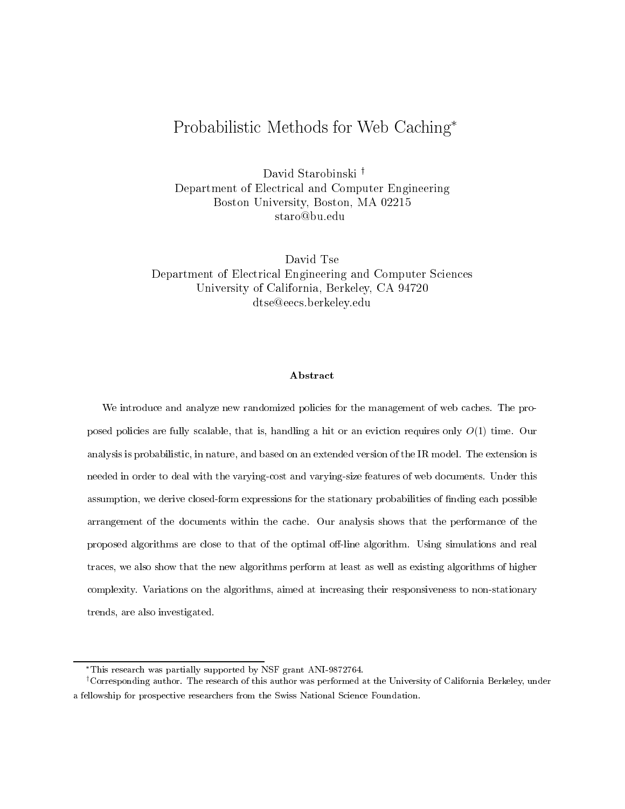# Probabilistic Methods for Web Caching

David Starobinski<sup>†</sup> Department of Electrical and Computer Engineering Boston University, Boston, MA 02215 staro@bu.edu

David Tse Department of Electrical Engineering and Computer Sciences University of California, Berkeley, CA 94720 dtse@eecs.berkeley.edu

### Abstract

We introduce and analyze new randomized policies for the management of web caches. The proposed policies are fully scalable, that is, handling a hit or an eviction requires only <sup>O</sup>(1) time. Our analysis is probabilistic, in nature, and based on an extended version of the IR model. The extension is needed in order to deal with the varying-cost and varying-size features of web documents. Under this assumption, we derive closed-form expressions for the stationary probabilities of nding each possiblearrangement of the documents within the cache. Our analysis with the state of the performance of the performan proposed algorithms are close to that of the optimal o-line algorithm. Using simulations and real traces, we also show that the new algorithms perform at least as well as existing algorithms of highercomplexity. Variations on the algorithms, aimed at increasing their responsiveness to non-stationary trends, are also investigated.

This research was partially supported by NSF grant ANI-9872764.

<sup>&</sup>lt;sup>†</sup>Corresponding author. The research of this author was performed at the University of California Berkeley, under a fellowship for prospective researchers from the Swiss National Science Foundation.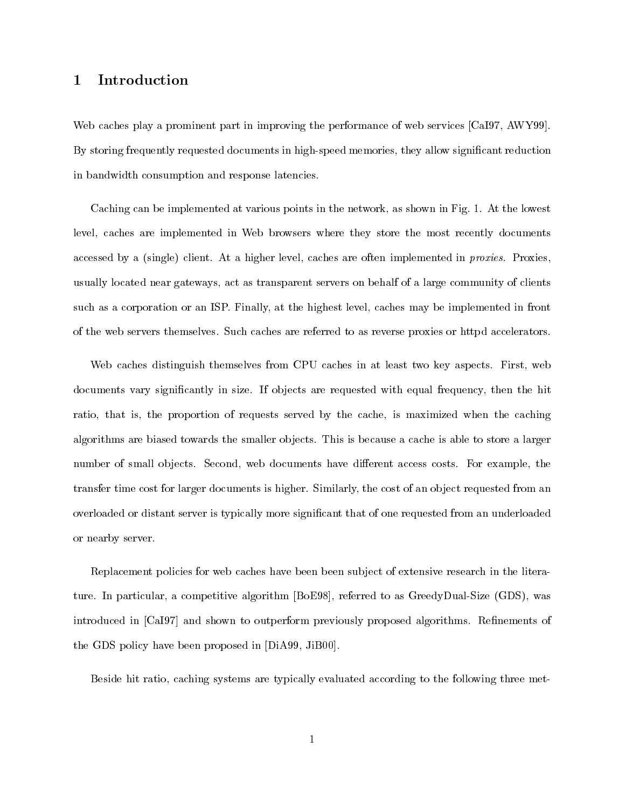## 1 Introduction

Web caches play a prominent part in improving the performance of web services [CaI97, AWY99]. By storing frequently requested documents in high-speed memories, they allow signicant reduction in bandwidth consumption and response latencies.

Caching can be implemented at various points in the network, as shown in Fig. 1. At the lowest level, caches are implemented in Web browsers where they store the most recently documents accessed by a (single) client. At a higher level, caches are often implemented in proxies. Proxies, usually located near gateways, act as transparent servers on behalf of a large community of clients such as a corporation or an ISP. Finally, at the highest level, caches may be implemented in front of the web servers themselves. Such caches are referred to as reverse proxies or httpd accelerators.

Web caches distinguish themselves from CPU caches in at least two key aspects. First, web documents vary significantly in size. If objects are requested with equal frequency, then the hit ratio, that is, the proportion of requests served by the cache, is maximized when the caching algorithms are biased towards the smaller objects. This is because a cache is able to store a larger number of small objects. Second, web documents have different access costs. For example, the transfer time cost for larger documents is higher. Similarly, the cost of an object requested from an overloaded or distant server is typically more signicant that of one requested from an underloaded or nearby server.

Replacement policies for web caches have been been sub ject of extensive research in the literature. In particular, a competitive algorithm  $[BoE98]$ , referred to as GreedyDual-Size (GDS), was introduced in [CaI97] and shown to outperform previously proposed algorithms. Refinements of the GDS policy have been proposed in [DiA99, JiB00].

Beside hit ratio, caching systems are typically evaluated according to the following three met-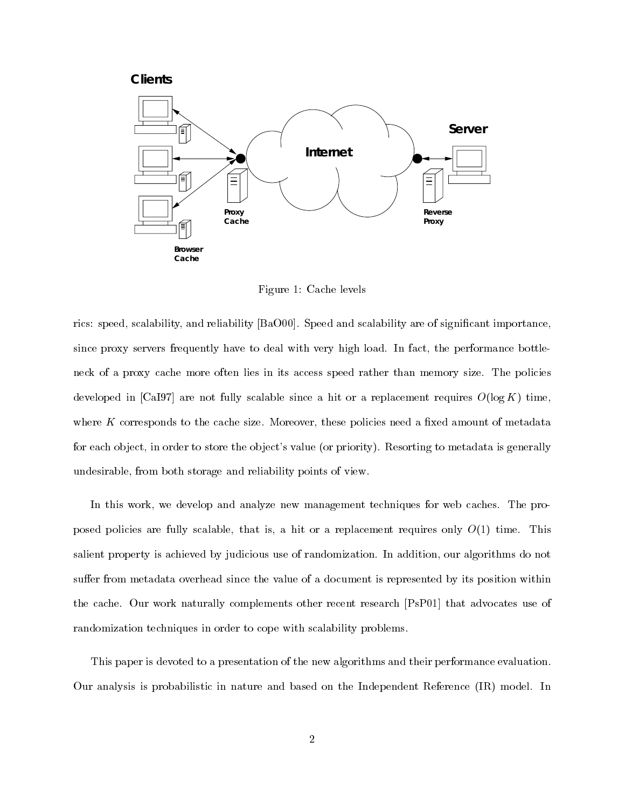*Clients*



Figure 1: Cache levels

rics: speed, scalability, and reliability [BaO00]. Speed and scalability are of significant importance, since proxy servers frequently have to deal with very high load. In fact, the performance bottleneck of a proxy cache more often lies in its access speed rather than memory size. The policies developed in [CaI97] are not fully scalable since a hit or a replacement requires  $O(\log K)$  time. where  $K$  corresponds to the cache size. Moreover, these policies need a fixed amount of metadata for each object, in order to store the object's value (or priority). Resorting to metadata is generally undesirable, from both storage and reliability points of view.

In this work, we develop and analyze new management techniques for web caches. The proposed policies are fully scalable, that is, a hit or a replacement requires only  $O(1)$  time. This salient property is achieved by judicious use of randomization. In addition, our algorithms do not suffer from metadata overhead since the value of a document is represented by its position within the cache. Our work naturally complements other recent research [PsP01] that advocates use of randomization techniques in order to cope with scalability problems.

This paper is devoted to a presentation of the new algorithms and their performance evaluation. Our analysis is probabilistic in nature and based on the Independent Reference (IR) model. In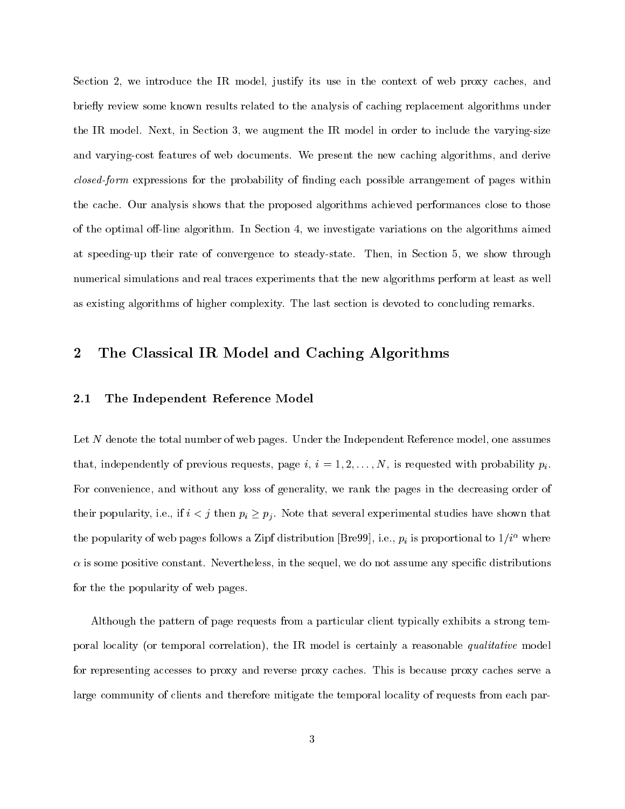Section 2, we introduce the IR model, justify its use in the context of web proxy caches, and briefly review some known results related to the analysis of caching replacement algorithms under the IR model. Next, in Section 3, we augment the IR model in order to include the varying-size and varying-cost features of web documents. We present the new caching algorithms, and derive closed-form expressions for the probability of nding each possible arrangement of pages within the cache. Our analysis shows that the proposed algorithms achieved performances close to those of the optimal off-line algorithm. In Section 4, we investigate variations on the algorithms aimed at speeding-up their rate of convergence to steady-state. Then, in Section 5, we show through numerical simulations and real traces experiments that the new algorithms perform at least as well as existing algorithms of higher complexity. The last section is devoted to concluding remarks.

## 2 The Classical IR Model and Caching Algorithms

### 2.1 The Independent Reference Model

Let N denote the total number of web pages. Under the Independent Reference model, one assumes that, independently of previous requests, page i,  $i = 1, 2, \ldots, N$ , is requested with probability  $p_i$ . For convenience, and without any loss of generality, we rank the pages in the decreasing order of their popularity, i.e., if  $i < j$  then  $p_i \geq p_j$ . Note that several experimental studies have shown that the popularity of web pages follows a Zipf distribution [Bre99], i.e.,  $p_i$  is proportional to  $1/i^{\alpha}$  where  $\alpha$  is some positive constant. Nevertheless, in the sequel, we do not assume any specific distributions for the the popularity of web pages.

Although the pattern of page requests from a particular client typically exhibits a strong temporal locality (or temporal correlation), the IR model is certainly a reasonable qualitative model for representing accesses to proxy and reverse proxy caches. This is because proxy caches serve a large community of clients and therefore mitigate the temporal locality of requests from each par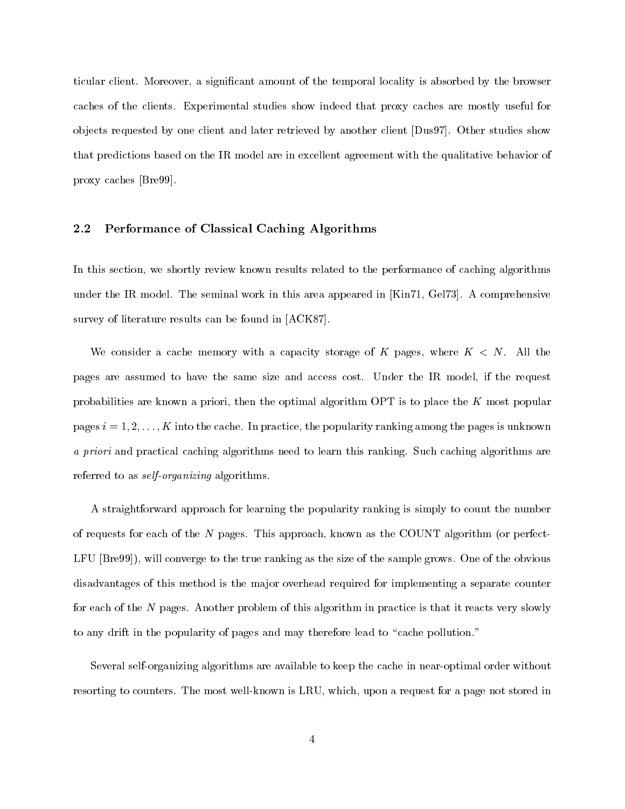ticular client. Moreover, a signicant amount of the temporal locality is absorbed by the browser caches of the clients. Experimental studies show indeed that proxy caches are mostly useful for ob jects requested by one client and later retrieved by another client [Dus97]. Other studies show that predictions based on the IR model are in excellent agreement with the qualitative behavior of proxy caches [Bre99].

### 2.2 Performance of Classical Caching Algorithms

In this section, we shortly review known results related to the performance of caching algorithms under the IR model. The seminal work in this area appeared in [Kin71, Gel73]. A comprehensive survey of literature results can be found in [ACK87].

We consider a cache memory with a capacity storage of K pages, where  $K < N$ . All the pages are assumed to have the same size and access cost. Under the IR model, if the request probabilities are known a priori, then the optimal algorithm OPT is to place the <sup>K</sup> most popular pages  $i = 1, 2, \ldots, K$  into the cache. In practice, the popularity ranking among the pages is unknown a priori and practical caching algorithms need to learn this ranking. Such caching algorithms are referred to as *self-organizing* algorithms.

A straightforward approach for learning the popularity ranking is simply to count the number of requests for each of the <sup>N</sup> pages. This approach, known as the COUNT algorithm (or perfect-LFU [Bre99]), will converge to the true ranking as the size of the sample grows. One of the obvious disadvantages of this method is the major overhead required for implementing a separate counter for each of the <sup>N</sup> pages. Another problem of this algorithm in practice is that it reacts very slowly to any drift in the popularity of pages and may therefore lead to "cache pollution."

Several self-organizing algorithms are available to keep the cache in near-optimal order without resorting to counters. The most well-known is LRU, which, upon a request for a page not stored in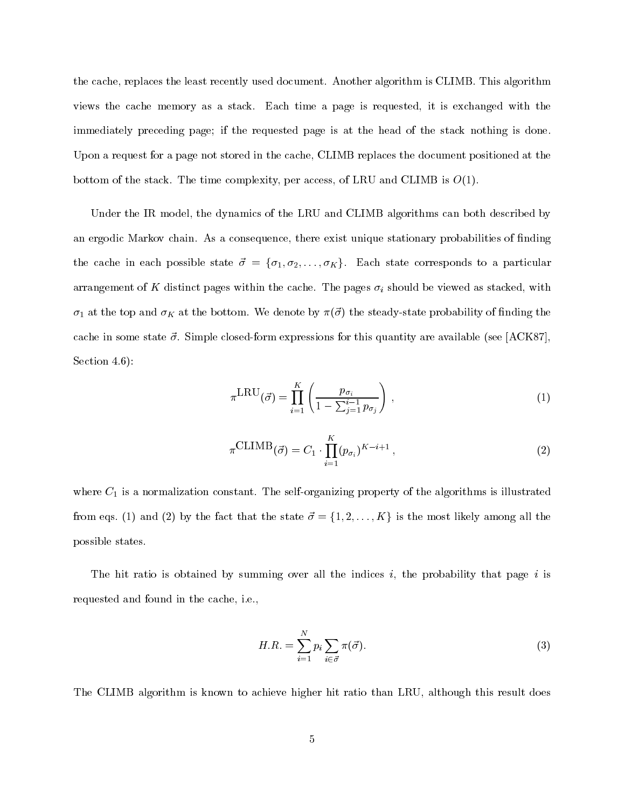the cache, replaces the least recently used document. Another algorithm is CLIMB. This algorithm views the cache memory as a stack. Each time a page is requested, it is exchanged with the immediately preceding page; if the requested page is at the head of the stack nothing is done. Upon a request for a page not stored in the cache, CLIMB replaces the document positioned at the bottom of the stack. The time complexity, per access, of LRU and CLIMB is  $O(1)$ .

Under the IR model, the dynamics of the LRU and CLIMB algorithms can both described by an ergodic Markov chain. As a consequence, there exist unique stationary probabilities of finding the cache in each possible state  $\vec{\sigma} = {\sigma_1, \sigma_2, \ldots, \sigma_K}$ . Each state corresponds to a particular arrangement of K distinct pages within the cache. The pages  $\sigma_i$  should be viewed as stacked, with  $\sigma_1$  at the top and  $\sigma_K$  at the bottom. We denote by  $\pi(\vec{\sigma})$  the steady-state probability of finding the cache in some state  $\vec{\sigma}$ . Simple closed-form expressions for this quantity are available (see [ACK87], Section 4.6):

$$
\pi^{\text{LRU}}(\vec{\sigma}) = \prod_{i=1}^{K} \left( \frac{p_{\sigma_i}}{1 - \sum_{j=1}^{i-1} p_{\sigma_j}} \right), \qquad (1)
$$

$$
\pi^{\text{CLIMB}}(\vec{\sigma}) = C_1 \cdot \prod_{i=1}^{K} (p_{\sigma_i})^{K-i+1}, \qquad (2)
$$

where  $C_1$  is a normalization constant. The self-organizing property of the algorithms is illustrated from eqs. (1) and (2) by the fact that the state  $\vec{\sigma} = \{1, 2, \ldots, K\}$  is the most likely among all the possible states.

The hit ratio is obtained by summing over all the indices i, the probability that page i is requested and found in the cache, i.e.,

$$
H.R. = \sum_{i=1}^{N} p_i \sum_{i \in \vec{\sigma}} \pi(\vec{\sigma}).
$$
\n(3)

The CLIMB algorithm is known to achieve higher hit ratio than LRU, although this result does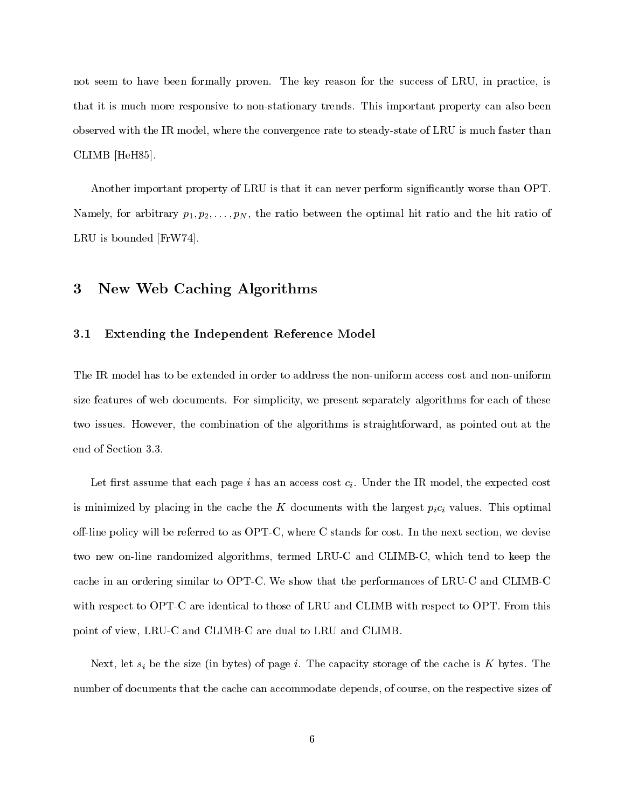not seem to have been formally proven. The key reason for the success of LRU, in practice, is that it is much more responsive to non-stationary trends. This important property can also been observed with the IR model, where the convergence rate to steady-state of LRU is much faster than CLIMB [HeH85].

Another important property of LRU is that it can never perform significantly worse than OPT. Namely, for arbitrary  $p_1, p_2, \ldots, p_N$ , the ratio between the optimal hit ratio and the hit ratio of LRU is bounded [FrW74].

#### 3 New Web Caching Algorithms

#### 3.1 Extending the Independent Reference Model

The IR model has to be extended in order to address the non-uniform access cost and non-uniform size features of web documents. For simplicity, we present separately algorithms for each of these two issues. However, the combination of the algorithms is straightforward, as pointed out at the end of Section 3.3.

Let first assume that each page i has an access cost  $c_i$ . Under the IR model, the expected cost is minimized by placing in the cache the K documents with the largest  $p_i c_i$  values. This optimal off-line policy will be referred to as OPT-C, where C stands for cost. In the next section, we devise two new on-line randomized algorithms, termed LRU-C and CLIMB-C, which tend to keep the cache in an ordering similar to OPT-C. We show that the performances of LRU-C and CLIMB-C with respect to OPT-C are identical to those of LRU and CLIMB with respect to OPT. From this point of view, LRU-C and CLIMB-C are dual to LRU and CLIMB.

Next, let  $s_i$  be the size (in bytes) of page i. The capacity storage of the cache is K bytes. The number of documents that the cache can accommodate depends, of course, on the respective sizes of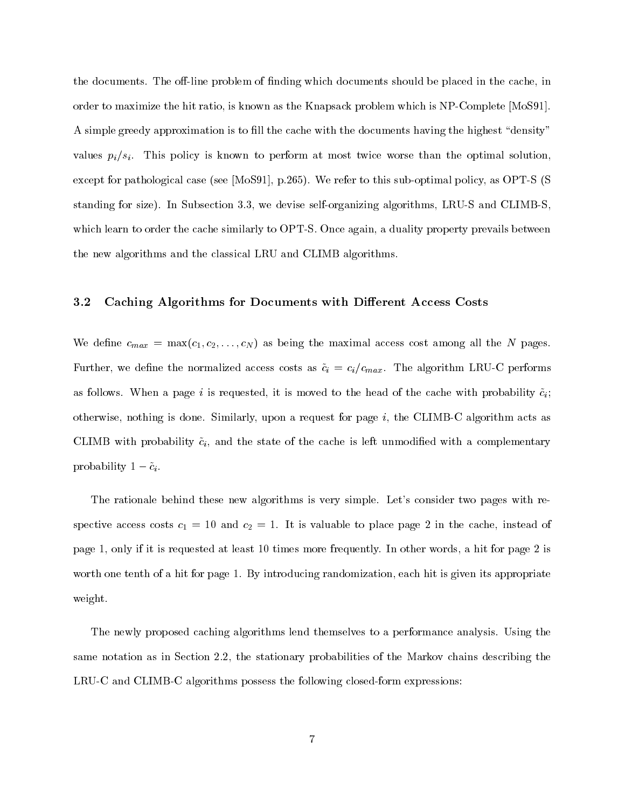the documents. The off-line problem of finding which documents should be placed in the cache, in order to maximize the hit ratio, is known as the Knapsack problem which is NP-Complete [MoS91]. A simple greedy approximation is to fill the cache with the documents having the highest "density" values  $p_i/s_i$ . This policy is known to perform at most twice worse than the optimal solution, except for pathological case (see [MoS91], p.265). We refer to this sub-optimal policy, as OPT-S (S standing for size). In Subsection 3.3, we devise self-organizing algorithms, LRU-S and CLIMB-S, which learn to order the cache similarly to OPT-S. Once again, a duality property prevails between the new algorithms and the classical LRU and CLIMB algorithms.

#### 3.2 Caching Algorithms for Documents with Different Access Costs

We define  $c_{max} = \max(c_1, c_2, \ldots, c_N)$  as being the maximal access cost among all the N pages. Further, we define the normalized access costs as  $\tilde{c}_i = c_i/c_{max}$ . The algorithm LRU-C performs as follows. When a page i is requested, it is moved to the head of the cache with probability  $\tilde{c}_i$ ; otherwise, nothing is done. Similarly, upon a request for page  $i$ , the CLIMB-C algorithm acts as CLIMB with probability  $\tilde{c}_i$ , and the state of the cache is left unmodified with a complementary probability  $1 - \tilde{c}_i$ .

The rationale behind these new algorithms is very simple. Let's consider two pages with respective access costs  $c_1 = 10$  and  $c_2 = 1$ . It is valuable to place page 2 in the cache, instead of page 1, only if it is requested at least 10 times more frequently. In other words, a hit for page 2 is worth one tenth of a hit for page 1. By introducing randomization, each hit is given its appropriate weight.

The newly proposed caching algorithms lend themselves to a performance analysis. Using the same notation as in Section 2.2, the stationary probabilities of the Markov chains describing the LRU-C and CLIMB-C algorithms possess the following closed-form expressions: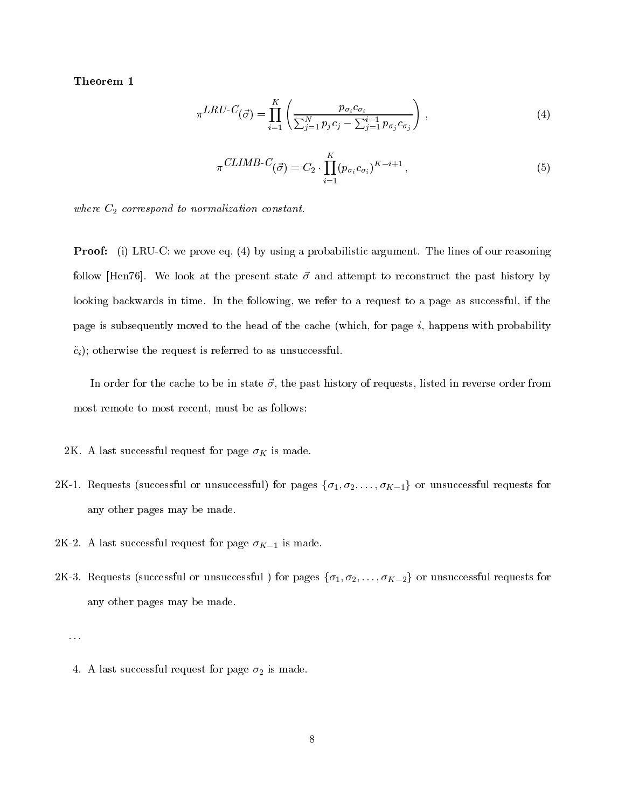Theorem 1

$$
\pi^{LRU-C}(\vec{\sigma}) = \prod_{i=1}^{K} \left( \frac{p_{\sigma_i} c_{\sigma_i}}{\sum_{j=1}^{N} p_j c_j - \sum_{j=1}^{i-1} p_{\sigma_j} c_{\sigma_j}} \right), \qquad (4)
$$

$$
\pi \, CLIMB\text{-}C(\vec{\sigma}) = C_2 \cdot \prod_{i=1}^{K} (p_{\sigma_i} c_{\sigma_i})^{K-i+1} \,, \tag{5}
$$

where  $C_2$  correspond to normalization constant.

**Proof:** (i) LRU-C: we prove eq. (4) by using a probabilistic argument. The lines of our reasoning follow [Hen76]. We look at the present state  $\vec{\sigma}$  and attempt to reconstruct the past history by looking backwards in time. In the following, we refer to a request to a page as successful, if the page is subsequently moved to the head of the cache (which, for page  $i$ , happens with probability  $\tilde{c}_i$ ); otherwise the request is referred to as unsuccessful.

In order for the cache to be in state  $\vec{\sigma}$ , the past history of requests, listed in reverse order from most remote to most recent, must be as follows:

2K. A last successful request for page  $\sigma_K$  is made.

- 2K-1. Requests (successful or unsuccessful) for pages  $\{\sigma_1, \sigma_2, \ldots, \sigma_{K-1}\}$  or unsuccessful requests for any other pages may be made.
- 2K-2. A last successful request for page  $\sigma_{K-1}$  is made.
- 2K-3. Requests (successful or unsuccessful) for pages  $\{\sigma_1, \sigma_2, \ldots, \sigma_{K-2}\}$  or unsuccessful requests for any other pages may be made.

:::

<sup>4.</sup> A last successful request for page  $\sigma_2$  is made.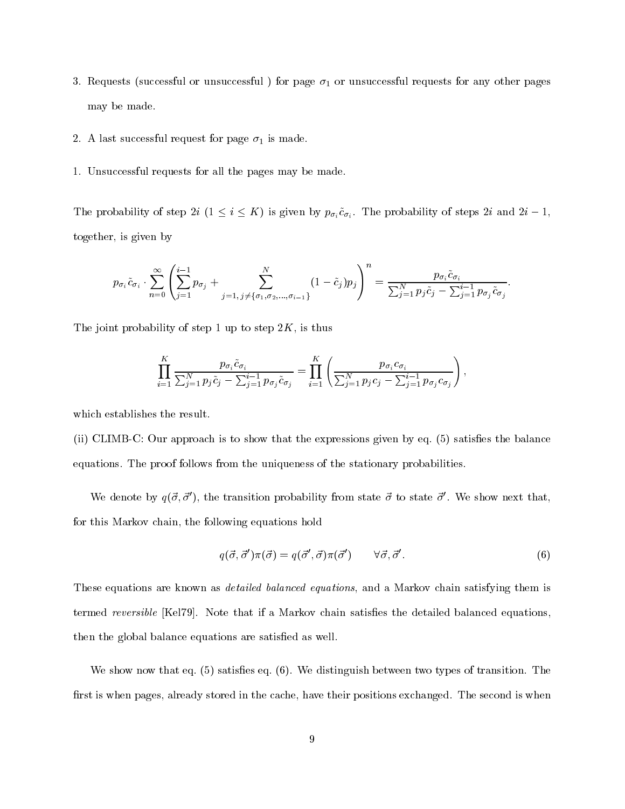- 3. Requests (successful or unsuccessful) for page  $\sigma_1$  or unsuccessful requests for any other pages may be made.
- 2. A last successful request for page  $\sigma_1$  is made.
- 1. Unsuccessful requests for all the pages may be made.

The probability of step 2i  $(1 \leq i \leq K)$  is given by  $p_{\sigma_i} \tilde{c}_{\sigma_i}$ . The probability of steps 2i and  $2i - 1$ , together, is given by

$$
p_{\sigma_i}\tilde{c}_{\sigma_i}\cdot \sum_{n=0}^{\infty} \left( \sum_{j=1}^{i-1} p_{\sigma_j} + \sum_{j=1, j\neq \{\sigma_1, \sigma_2, \dots, \sigma_{i-1}\}}^{N} (1-\tilde{c}_j)p_j \right)^n = \frac{p_{\sigma_i}\tilde{c}_{\sigma_i}}{\sum_{j=1}^{N} p_j\tilde{c}_j - \sum_{j=1}^{i-1} p_{\sigma_j}\tilde{c}_{\sigma_j}}.
$$

The joint probability of step 1 up to step  $2K$ , is thus

$$
\prod_{i=1}^K \frac{p_{\sigma_i} \tilde{c}_{\sigma_i}}{\sum_{j=1}^N p_j \tilde{c}_j - \sum_{j=1}^{i-1} p_{\sigma_j} \tilde{c}_{\sigma_j}} = \prod_{i=1}^K \left( \frac{p_{\sigma_i} c_{\sigma_i}}{\sum_{j=1}^N p_j c_j - \sum_{j=1}^{i-1} p_{\sigma_j} c_{\sigma_j}} \right),
$$

which establishes the result.

 $(i)$  CLIMB-C: Our approach is to show that the expressions given by eq. (5) satisfies the balance equations. The proof follows from the uniqueness of the stationary probabilities.

We denote by  $q(\vec{\sigma}, \vec{\sigma}')$ , the transition probability from state  $\vec{\sigma}$  to state  $\vec{\sigma}'$ . We show next that, for this Markov chain, the following equations hold

$$
q(\vec{\sigma}, \vec{\sigma}')\pi(\vec{\sigma}) = q(\vec{\sigma}', \vec{\sigma})\pi(\vec{\sigma}') \qquad \forall \vec{\sigma}, \vec{\sigma}'. \qquad (6)
$$

These equations are known as *detailed balanced equations*, and a Markov chain satisfying them is termed reversible [Kel79]. Note that if a Markov chain satisfies the detailed balanced equations, then the global balance equations are satisfied as well.

We show now that eq.  $(5)$  satisfies eq.  $(6)$ . We distinguish between two types of transition. The first is when pages, already stored in the cache, have their positions exchanged. The second is when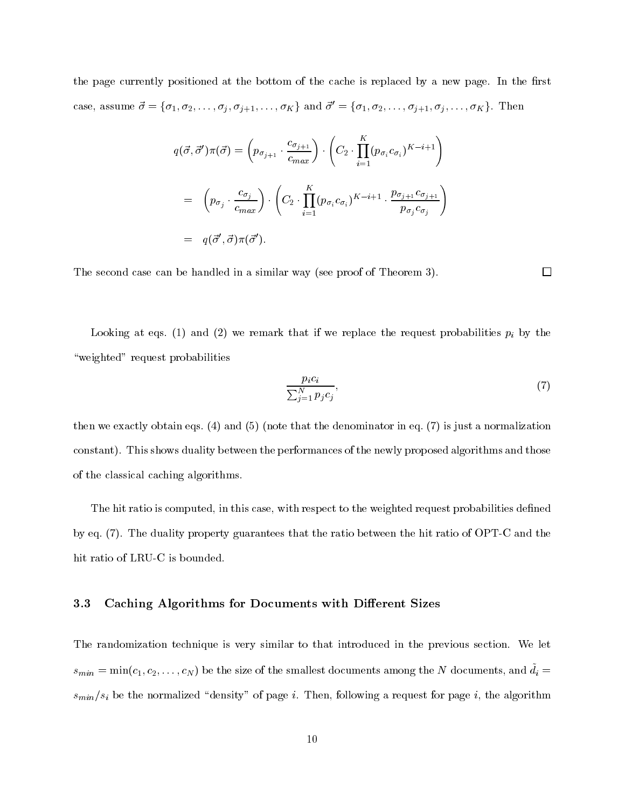the page currently positioned at the bottom of the cache is replaced by a new page. In the first case, assume  $\vec{\sigma} = {\sigma_1, \sigma_2, \ldots, \sigma_j, \sigma_{j+1}, \ldots, \sigma_K}$  and  $\vec{\sigma}' = {\sigma_1, \sigma_2, \ldots, \sigma_{j+1}, \sigma_j, \ldots, \sigma_K}$ . Then

$$
q(\vec{\sigma}, \vec{\sigma}')\pi(\vec{\sigma}) = \left(p_{\sigma_{j+1}} \cdot \frac{c_{\sigma_{j+1}}}{c_{max}}\right) \cdot \left(C_2 \cdot \prod_{i=1}^K (p_{\sigma_i} c_{\sigma_i})^{K-i+1}\right)
$$
  
= 
$$
\left(p_{\sigma_j} \cdot \frac{c_{\sigma_j}}{c_{max}}\right) \cdot \left(C_2 \cdot \prod_{i=1}^K (p_{\sigma_i} c_{\sigma_i})^{K-i+1} \cdot \frac{p_{\sigma_{j+1}} c_{\sigma_{j+1}}}{p_{\sigma_j} c_{\sigma_j}}\right)
$$
  
= 
$$
q(\vec{\sigma}', \vec{\sigma})\pi(\vec{\sigma}').
$$

The second case can be handled in a similar way (see proof of Theorem 3).

Looking at eqs. (1) and (2) we remark that if we replace the request probabilities  $p_i$  by the "weighted" request probabilities

$$
\frac{p_i c_i}{\sum_{j=1}^N p_j c_j},\tag{7}
$$

 $\Box$ 

then we exactly obtain eqs. (4) and (5) (note that the denominator in eq. (7) is just a normalization constant). This shows duality between the performances of the newly proposed algorithms and those of the classical caching algorithms.

The hit ratio is computed, in this case, with respect to the weighted request probabilities defined by eq. (7). The duality property guarantees that the ratio between the hit ratio of OPT-C and the hit ratio of LRU-C is bounded.

#### 3.3 Caching Algorithms for Documents with Different Sizes

The randomization technique is very similar to that introduced in the previous section. We let  $s_{min} = \min(c_1, c_2, \ldots, c_N)$  be the size of the smallest documents among the N documents, and  $\tilde{d}_i =$  $s_{min}/s_i$  be the normalized "density" of page i. Then, following a request for page i, the algorithm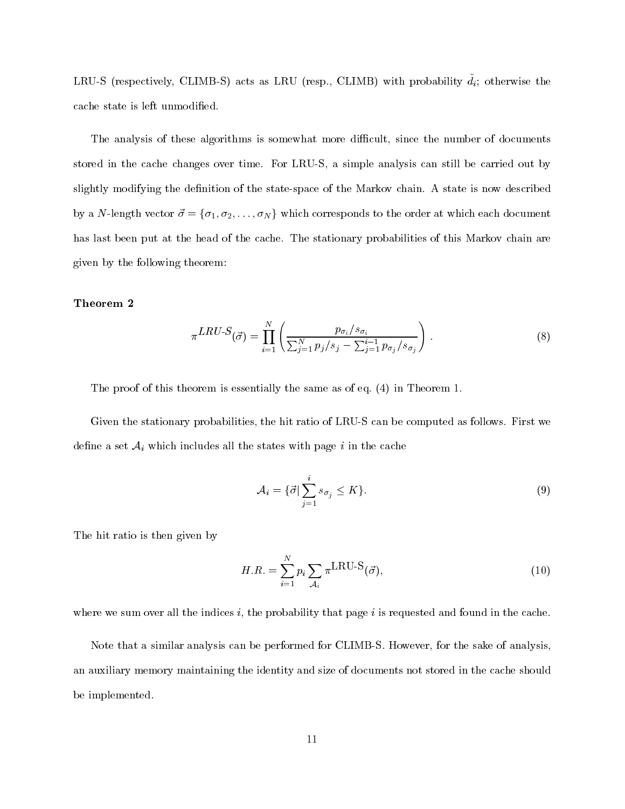LRU-S (respectively, CLIMB-S) acts as LRU (resp., CLIMB) with probability  $\tilde{d}_i$ ; otherwise the cache state is left unmodified.

The analysis of these algorithms is somewhat more difficult, since the number of documents stored in the cache changes over time. For LRU-S, a simple analysis can still be carried out by slightly modifying the definition of the state-space of the Markov chain. A state is now described by a N-length vector  $\vec{\sigma} = {\sigma_1, \sigma_2, \ldots, \sigma_N}$  which corresponds to the order at which each document has last been put at the head of the cache. The stationary probabilities of this Markov chain are given by the following theorem:

### Theorem 2

$$
\pi^{LRU-S}(\vec{\sigma}) = \prod_{i=1}^{N} \left( \frac{p_{\sigma_i}/s_{\sigma_i}}{\sum_{j=1}^{N} p_j/s_j - \sum_{j=1}^{i-1} p_{\sigma_j}/s_{\sigma_j}} \right).
$$
\n(8)

The proof of this theorem is essentially the same as of eq. (4) in Theorem 1.

Given the stationary probabilities, the hit ratio of LRU-S can be computed as follows. First we define a set  $A_i$  which includes all the states with page i in the cache

$$
\mathcal{A}_i = \{ \vec{\sigma} | \sum_{j=1}^i s_{\sigma_j} \le K \}. \tag{9}
$$

The hit ratio is then given by

$$
H.R. = \sum_{i=1}^{N} p_i \sum_{\mathcal{A}_i} \pi^{\text{LRU-S}}(\vec{\sigma}), \tag{10}
$$

where we sum over all the indices  $i$ , the probability that page  $i$  is requested and found in the cache.

Note that a similar analysis can be performed for CLIMB-S. However, for the sake of analysis, an auxiliary memory maintaining the identity and size of documents not stored in the cache should be implemented.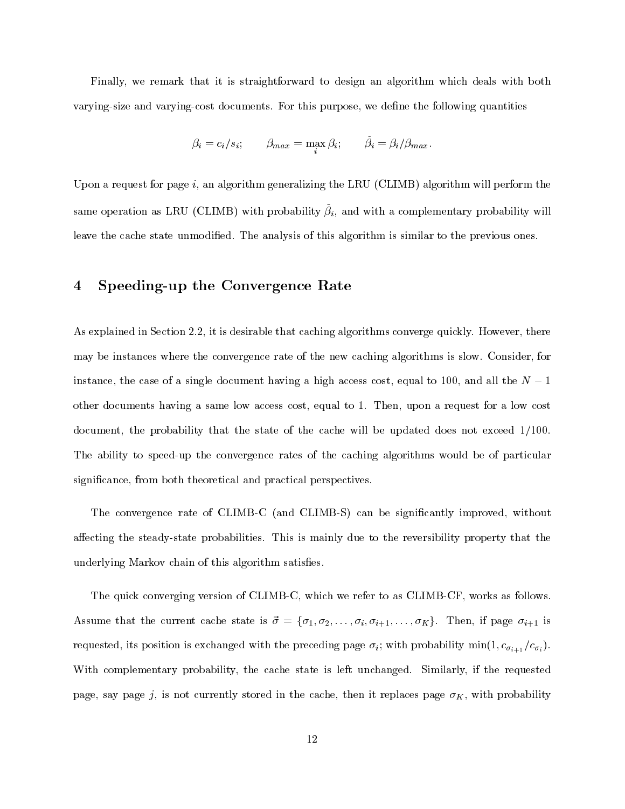Finally, we remark that it is straightforward to design an algorithm which deals with both varying-size and varying-cost documents. For this purpose, we dene the following quantities

$$
\beta_i = c_i/s_i; \qquad \beta_{max} = \max_i \beta_i; \qquad \bar{\beta}_i = \beta_i/\beta_{max}.
$$

Upon a request for page  $i$ , an algorithm generalizing the LRU (CLIMB) algorithm will perform the same operation as LRU (CLIND) with probability  $\rho_i$ , and with a complementary probability will leave the cache state unmodified. The analysis of this algorithm is similar to the previous ones.

#### Speeding-up the Convergence Rate  $\overline{\mathbf{4}}$

As explained in Section 2.2, it is desirable that caching algorithms converge quickly. However, there may be instances where the convergence rate of the new caching algorithms is slow. Consider, for instance, the case of a single document having a high access cost, equal to 100, and all the  $N-1$ other documents having a same low access cost, equal to 1. Then, upon a request for a low cost document, the probability that the state of the cache will be updated does not exceed 1/100. The ability to speed-up the convergence rates of the caching algorithms would be of particular signicance, from both theoretical and practical perspectives.

The convergence rate of CLIMB-C (and CLIMB-S) can be significantly improved, without affecting the steady-state probabilities. This is mainly due to the reversibility property that the underlying Markov chain of this algorithm satisfies.

The quick converging version of CLIMB-C, which we refer to as CLIMB-CF, works as follows. Assume that the current cache state is  $\vec{\sigma} = {\sigma_1, \sigma_2, \ldots, \sigma_i, \sigma_{i+1}, \ldots, \sigma_K}$ . Then, if page  $\sigma_{i+1}$  is requested, its position is exchanged with the preceding page  $\sigma_i$ ; with probability min $(1, c_{\sigma_{i+1}} / c_{\sigma_i})$ . With complementary probability, the cache state is left unchanged. Similarly, if the requested page, say page j, is not currently stored in the cache, then it replaces page  $\sigma_K$ , with probability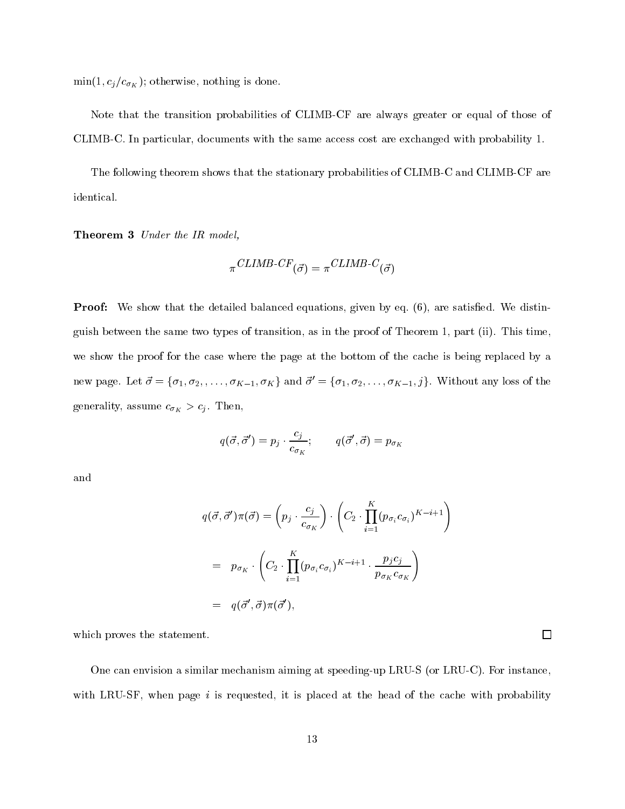$\min(1, c_j/c_{\sigma_K})$ ; otherwise, nothing is done.

Note that the transition probabilities of CLIMB-CF are always greater or equal of those of CLIMB-C. In particular, documents with the same access cost are exchanged with probability 1.

The following theorem shows that the stationary probabilities of CLIMB-C and CLIMB-CF are identical.

Theorem 3 Under the IR model,

$$
\pi^{CLIMB\text{-}CF}(\vec{\sigma}) = \pi^{CLIMB\text{-}C}(\vec{\sigma})
$$

**Proof:** We show that the detailed balanced equations, given by eq. (6), are satisfied. We distinguish between the same two types of transition, as in the proof of Theorem 1, part (ii). This time, we show the proof for the case where the page at the bottom of the cache is being replaced by a new page. Let  $\vec{\sigma} = {\sigma_1, \sigma_2, \ldots, \sigma_{K-1}, \sigma_K}$  and  $\vec{\sigma'} = {\sigma_1, \sigma_2, \ldots, \sigma_{K-1}, j}$ . Without any loss of the generality, assume  $c_{\sigma_K} > c_j$ . Then,

$$
q(\vec{\sigma}, \vec{\sigma}') = p_j \cdot \frac{c_j}{c_{\sigma_K}}; \qquad q(\vec{\sigma}', \vec{\sigma}) = p_{\sigma_K}
$$

and

$$
q(\vec{\sigma}, \vec{\sigma}')\pi(\vec{\sigma}) = \left(p_j \cdot \frac{c_j}{c_{\sigma_K}}\right) \cdot \left(C_2 \cdot \prod_{i=1}^K (p_{\sigma_i} c_{\sigma_i})^{K-i+1}\right)
$$

$$
= p_{\sigma_K} \cdot \left(C_2 \cdot \prod_{i=1}^K (p_{\sigma_i} c_{\sigma_i})^{K-i+1} \cdot \frac{p_j c_j}{p_{\sigma_K} c_{\sigma_K}}\right)
$$

$$
= q(\vec{\sigma}', \vec{\sigma})\pi(\vec{\sigma}'),
$$

which proves the statement.

One can envision a similar mechanism aiming at speeding-up LRU-S (or LRU-C). For instance, with LRU-SF, when page  $i$  is requested, it is placed at the head of the cache with probability

 $\Box$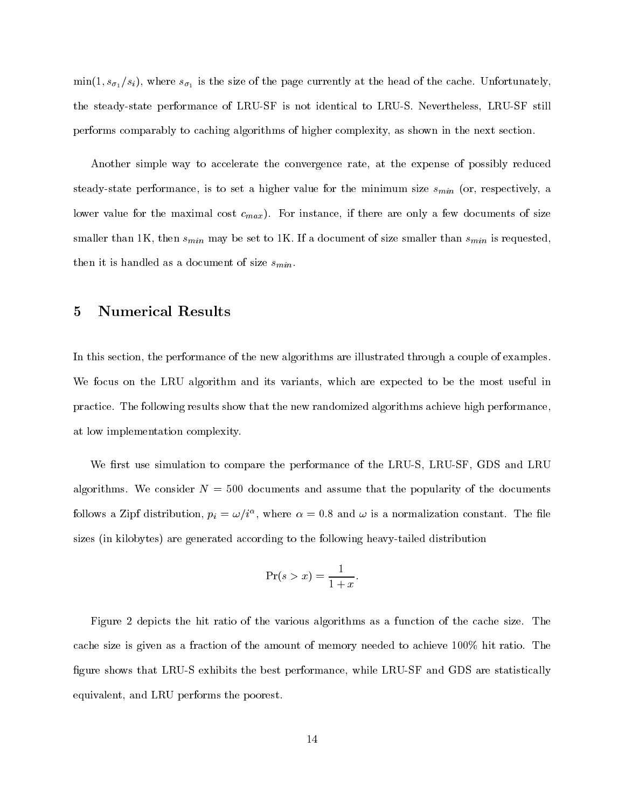$\max(z, \{s_0\}, \{s_1\})$ , where  $\{s_0\}$  is the size of the page currently at the head of the cache. Unfortunately, the steady-state performance of LRU-SF is not identical to LRU-S. Nevertheless, LRU-SF still performs comparably to caching algorithms of higher complexity, as shown in the next section.

Another simple way to accelerate the convergence rate, at the expense of possibly reduced steady-state performance, is to set a higher value for the minimum size  $s_{min}$  (or, respectively, a lower value for the maximal cost  $c_{max}$ ). For instance, if there are only a few documents of size smaller than 1K, then  $s_{min}$  may be set to 1K. If a document of size smaller than  $s_{min}$  is requested, then it is handled as a document of size  $s_{min}$ .

#### 5 Numerical Results 5

In this section, the performance of the new algorithms are illustrated through a couple of examples. We focus on the LRU algorithm and its variants, which are expected to be the most useful in practice. The following results show that the new randomized algorithms achieve high performance, at low implementation complexity.

We first use simulation to compare the performance of the LRU-S, LRU-SF, GDS and LRU algorithms. We consider  $N = 500$  documents and assume that the popularity of the documents follows a zipf distribution,  $p_i = \omega / i \gamma$ , where  $\alpha = 0.8$  and  $\omega$  is a normalization constant. The file sizes (in kilobytes) are generated according to the following heavy-tailed distribution

$$
\Pr(s > x) = \frac{1}{1+x}.
$$

Figure 2 depicts the hit ratio of the various algorithms as a function of the cache size. The cache size is given asa fraction of the amount of memory needed to achieve 100% hit ratio. The figure shows that LRU-S exhibits the best performance, while LRU-SF and GDS are statistically equivalent, and LRU performs the poorest.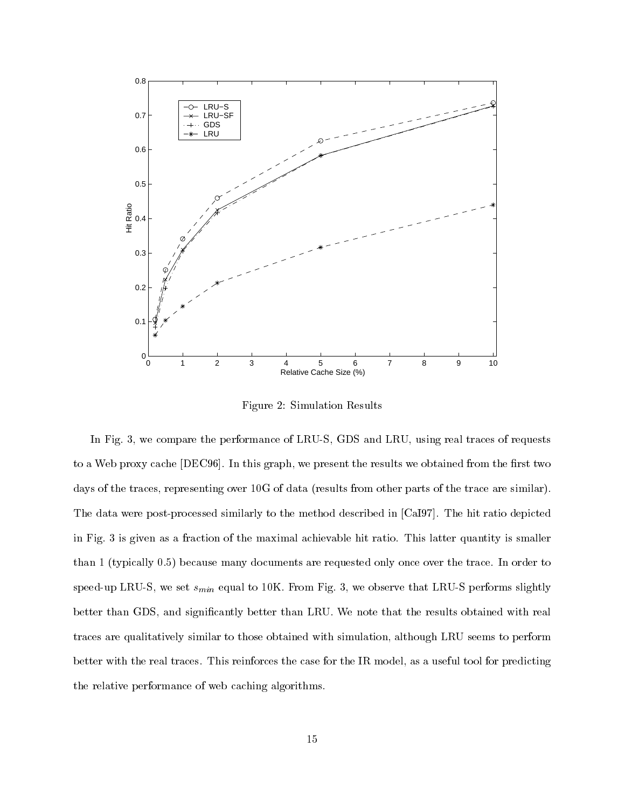

Figure 2: Simulation Results

In Fig. 3, we compare the performance of LRU-S, GDS and LRU, using real traces of requests to a Web proxy cache [DEC96]. In this graph, we present the results we obtained from the first two days of the traces, representing over 10G of data (results from other parts of the trace are similar). The data were post-processed similarly to the method described in [CaI97]. The hit ratio depicted in Fig. 3 is given as a fraction of the maximal achievable hit ratio. This latter quantity is smaller than 1 (typically 0.5) because many documents are requested only once over the trace. In order to speed-up LRU-S, we set  $s_{min}$  equal to 10K. From Fig. 3, we observe that LRU-S performs slightly better than GDS, and significantly better than LRU. We note that the results obtained with real traces are qualitatively similar to those obtained with simulation, although LRU seems to perform better with the real traces. This reinforces the case for the IR model, as a useful tool for predicting the relative performance of web caching algorithms.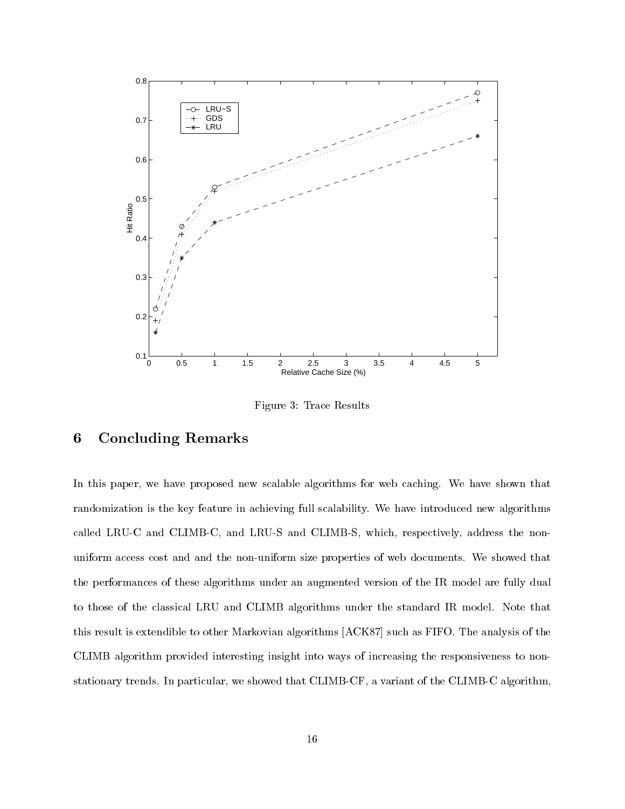

Figure 3: Trace Results

## 6 Concluding Remarks

In this paper, we have proposed new scalable algorithms for web caching. We have shown that randomization is the key feature in achieving full scalability. We have introduced new algorithms called LRU-C and CLIMB-C, and LRU-S and CLIMB-S, which, respectively, address the nonuniform access cost and and the non-uniform size properties of web documents. We showed that the performances of these algorithms under an augmented version of the IR model are fully dual to those of the classical LRU and CLIMB algorithms under the standard IR model. Note that this result is extendible to other Markovian algorithms [ACK87] such as FIFO. The analysis of the CLIMB algorithm provided interesting insight into ways of increasing the responsiveness to nonstationary trends. In particular, we showed that CLIMB-CF, a variant of the CLIMB-C algorithm,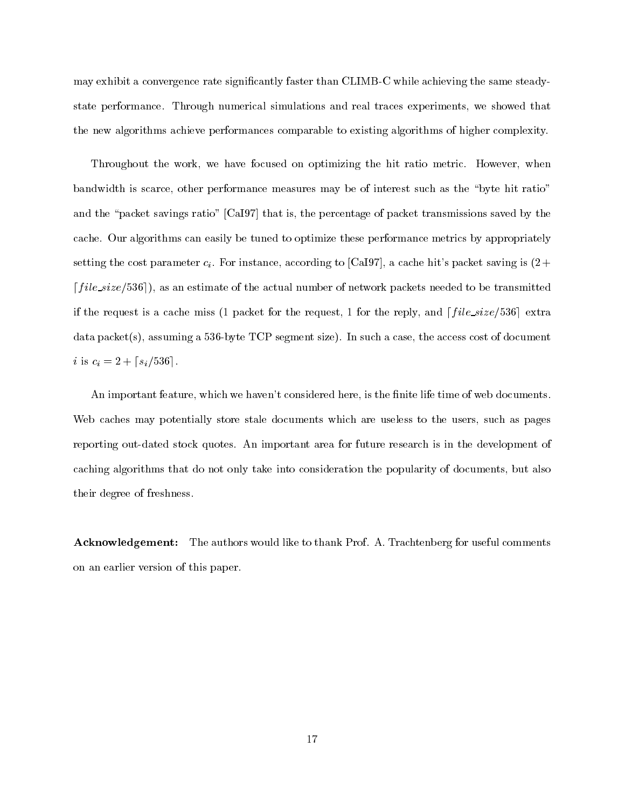may exhibit a convergence rate signicantly faster than CLIMB-C while achieving the same steadystate performance. Through numerical simulations and real traces experiments, we showed that the new algorithms achieve performances comparable to existing algorithms of higher complexity.

Throughout the work, we have focused on optimizing the hit ratio metric. However, when bandwidth is scarce, other performance measures may be of interest such as the \byte hit ratio" and the "packet savings ratio" [CaI97] that is, the percentage of packet transmissions saved by the cache. Our algorithms can easily be tuned to optimize these performance metrics by appropriately setting the cost parameter  $c_i$ . For instance, according to [CaI97], a cache hit's packet saving is  $(2 +$  $file_size/536$ , as an estimate of the actual number of network packets needed to be transmitted if the request is a cache miss (1 packet for the request, 1 for the reply, and  $\lceil$  file\_size/536 extra data packet(s), assuming a 536-byte TCP segment size). In such a case, the access cost of document *i* is  $c_i = 2 + \lceil s_i/536 \rceil$ .

An important feature, which we haven't considered here, is the finite life time of web documents. Web caches may potentially store stale documents which are useless to the users, such as pages reporting out-dated stock quotes. An important area for future research is in the development of caching algorithms that do not only take into consideration the popularity of documents, but also their degree of freshness.

Acknowledgement: The authors would like to thank Prof. A. Trachtenberg for useful comments on an earlier version of this paper.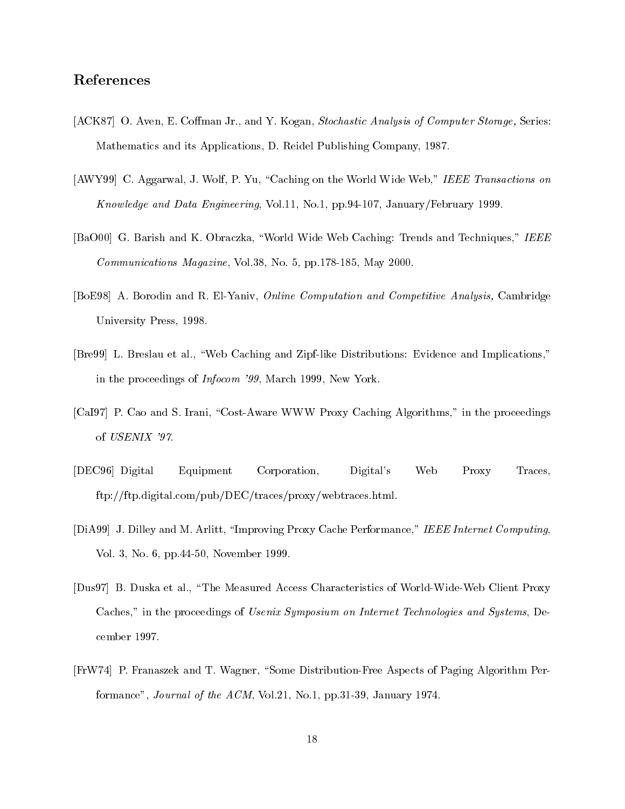## References

- [ACK87] O. Aven, E. Coffman Jr., and Y. Kogan, Stochastic Analysis of Computer Storage, Series: Mathematics and its Applications, D. Reidel Publishing Company, 1987.
- [AWY99] C. Aggarwal, J. Wolf, P. Yu, "Caching on the World Wide Web," IEEE Transactions on Know ledge and Data Engineering, Vol.11, No.1, pp.94-107, January/February 1999.
- [BaO00] G. Barish and K. Obraczka, "World Wide Web Caching: Trends and Techniques," IEEE Communications Magazine, Vol.38, No. 5, pp.178-185, May 2000.
- [BoE98] A. Borodin and R. El-Yaniv, Online Computation and Competitive Analysis, Cambridge University Press, 1998.
- [Bre99] L. Breslau et al., \Web Caching and Zipf-like Distributions: Evidence and Implications," in the proceedings of Infocom '99, March 1999, New York.
- [CaI97] P. Cao and S. Irani, "Cost-Aware WWW Proxy Caching Algorithms," in the proceedings of USENIX '97.
- [DEC96] Digital Equipment Corporation, Digital's Web Proxy Traces, ftp://ftp.digital.com/pub/DEC/traces/proxy/webtraces.html.
- [DiA99] J. Dilley and M. Arlitt, "Improving Proxy Cache Performance," IEEE Internet Computing, Vol. 3, No. 6, pp.44-50, November 1999.
- [Dus97] B. Duska et al., \The Measured Access Characteristics of World-Wide-Web Client Proxy Caches," in the proceedings of Usenix Symposium on Internet Technologies and Systems, December 1997.
- [FrW74] P. Franaszek and T. Wagner, "Some Distribution-Free Aspects of Paging Algorithm Performance", Journal of the ACM, Vol.21, No.1, pp.31-39, January 1974.